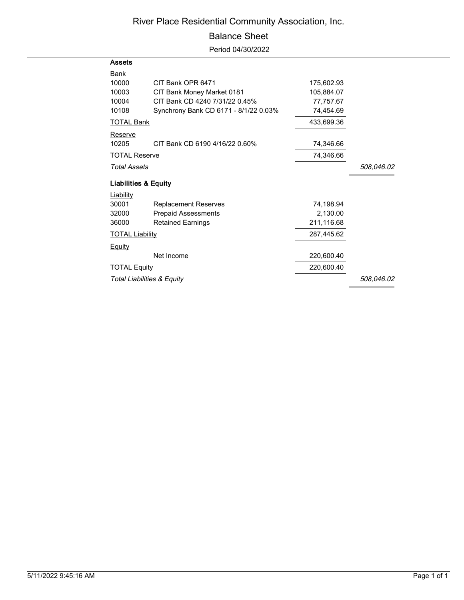## River Place Residential Community Association, Inc.

## Balance Sheet

Period 04/30/2022

| <b>Assets</b>                   |                                       |            |            |
|---------------------------------|---------------------------------------|------------|------------|
| <u>Bank</u>                     |                                       |            |            |
| 10000                           | CIT Bank OPR 6471                     | 175,602.93 |            |
| 10003                           | CIT Bank Money Market 0181            | 105,884.07 |            |
| 10004                           | CIT Bank CD 4240 7/31/22 0.45%        | 77,757.67  |            |
| 10108                           | Synchrony Bank CD 6171 - 8/1/22 0.03% | 74,454.69  |            |
| <u>TOTAL Bank</u>               |                                       | 433,699.36 |            |
| Reserve                         |                                       |            |            |
| 10205                           | CIT Bank CD 6190 4/16/22 0.60%        | 74,346.66  |            |
| <b>TOTAL Reserve</b>            |                                       | 74,346.66  |            |
| <b>Total Assets</b>             |                                       |            | 508,046.02 |
| <b>Liabilities &amp; Equity</b> |                                       |            |            |
| Liability                       |                                       |            |            |
| 30001                           | <b>Replacement Reserves</b>           | 74,198.94  |            |
| 32000                           | <b>Prepaid Assessments</b>            | 2,130.00   |            |
| 36000                           | <b>Retained Earnings</b>              | 211,116.68 |            |
| <b>TOTAL Liability</b>          |                                       | 287,445.62 |            |
| <u>Equity</u>                   |                                       |            |            |
|                                 | Net Income                            | 220,600.40 |            |
| <b>TOTAL Equity</b>             |                                       | 220,600.40 |            |
| Total Liabilities & Equity      |                                       |            | 508,046.02 |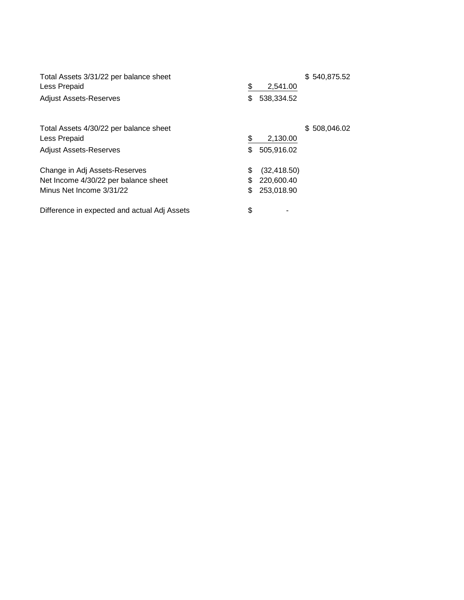| Total Assets 3/31/22 per balance sheet<br>Less Prepaid | \$<br>2,541.00     | \$540,875.52 |
|--------------------------------------------------------|--------------------|--------------|
| <b>Adjust Assets-Reserves</b>                          | \$<br>538,334.52   |              |
| Total Assets 4/30/22 per balance sheet                 |                    | \$508,046.02 |
| Less Prepaid                                           | \$<br>2,130.00     |              |
| <b>Adjust Assets-Reserves</b>                          | \$<br>505,916.02   |              |
| Change in Adj Assets-Reserves                          | \$<br>(32, 418.50) |              |
| Net Income 4/30/22 per balance sheet                   | \$<br>220,600.40   |              |
| Minus Net Income 3/31/22                               | \$<br>253,018.90   |              |
| Difference in expected and actual Adj Assets           | \$                 |              |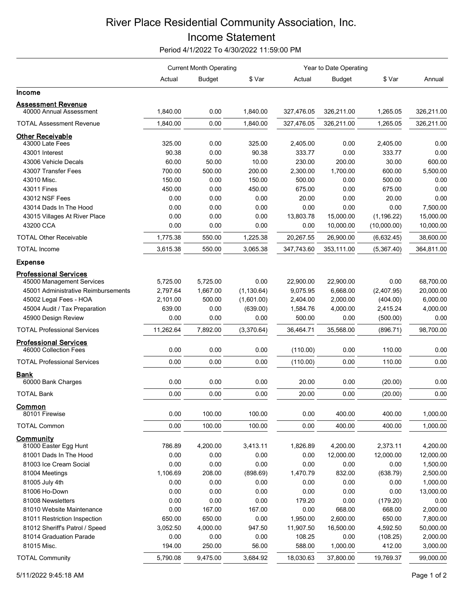## River Place Residential Community Association, Inc. Income Statement

Period 4/1/2022 To 4/30/2022 11:59:00 PM

|                                                      | <b>Current Month Operating</b> |               |             | Year to Date Operating |               |             |            |
|------------------------------------------------------|--------------------------------|---------------|-------------|------------------------|---------------|-------------|------------|
|                                                      | Actual                         | <b>Budget</b> | \$ Var      | Actual                 | <b>Budget</b> | \$ Var      | Annual     |
| Income                                               |                                |               |             |                        |               |             |            |
| <b>Assessment Revenue</b><br>40000 Annual Assessment | 1,840.00                       | 0.00          | 1,840.00    | 327,476.05             | 326,211.00    | 1,265.05    | 326,211.00 |
|                                                      |                                |               |             |                        |               |             |            |
| <b>TOTAL Assessment Revenue</b>                      | 1,840.00                       | 0.00          | 1,840.00    | 327,476.05             | 326,211.00    | 1,265.05    | 326,211.00 |
| <b>Other Receivable</b>                              |                                |               |             |                        |               |             |            |
| 43000 Late Fees                                      | 325.00                         | 0.00          | 325.00      | 2,405.00               | 0.00          | 2,405.00    | 0.00       |
| 43001 Interest                                       | 90.38                          | 0.00          | 90.38       | 333.77                 | 0.00          | 333.77      | 0.00       |
| 43006 Vehicle Decals                                 | 60.00                          | 50.00         | 10.00       | 230.00                 | 200.00        | 30.00       | 600.00     |
| 43007 Transfer Fees                                  | 700.00                         | 500.00        | 200.00      | 2,300.00               | 1,700.00      | 600.00      | 5,500.00   |
| 43010 Misc.                                          | 150.00                         | 0.00          | 150.00      | 500.00                 | 0.00          | 500.00      | 0.00       |
| 43011 Fines                                          | 450.00                         | 0.00          | 450.00      | 675.00                 | 0.00          | 675.00      | 0.00       |
| 43012 NSF Fees                                       | 0.00                           | 0.00          | 0.00        | 20.00                  | 0.00          | 20.00       | 0.00       |
| 43014 Dads In The Hood                               | 0.00                           | 0.00          | 0.00        | 0.00                   | 0.00          | 0.00        | 7,500.00   |
| 43015 Villages At River Place                        | 0.00                           | 0.00          | 0.00        | 13,803.78              | 15,000.00     | (1, 196.22) | 15,000.00  |
| 43200 CCA                                            | 0.00                           | 0.00          | 0.00        | 0.00                   | 10,000.00     | (10,000.00) | 10,000.00  |
| <b>TOTAL Other Receivable</b>                        | 1,775.38                       | 550.00        | 1,225.38    | 20,267.55              | 26,900.00     | (6,632.45)  | 38,600.00  |
| <b>TOTAL Income</b>                                  | 3,615.38                       | 550.00        | 3,065.38    | 347,743.60             | 353,111.00    | (5,367.40)  | 364,811.00 |
| <b>Expense</b>                                       |                                |               |             |                        |               |             |            |
| <b>Professional Services</b>                         |                                |               |             |                        |               |             |            |
| 45000 Management Services                            | 5,725.00                       | 5,725.00      | 0.00        | 22,900.00              | 22,900.00     | 0.00        | 68,700.00  |
| 45001 Administrative Reimbursements                  | 2,797.64                       | 1,667.00      | (1, 130.64) | 9,075.95               | 6,668.00      | (2,407.95)  | 20,000.00  |
| 45002 Legal Fees - HOA                               | 2,101.00                       | 500.00        | (1,601.00)  | 2,404.00               | 2,000.00      | (404.00)    | 6,000.00   |
| 45004 Audit / Tax Preparation                        | 639.00                         | 0.00          | (639.00)    | 1,584.76               | 4,000.00      | 2,415.24    | 4,000.00   |
| 45900 Design Review                                  | 0.00                           | 0.00          | 0.00        | 500.00                 | 0.00          | (500.00)    | 0.00       |
| <b>TOTAL Professional Services</b>                   | 11,262.64                      | 7,892.00      | (3,370.64)  | 36,464.71              | 35,568.00     | (896.71)    | 98,700.00  |
| <b>Professional Services</b>                         |                                |               |             |                        |               |             |            |
| 46000 Collection Fees                                | 0.00                           | 0.00          | 0.00        | (110.00)               | 0.00          | 110.00      | 0.00       |
| <b>TOTAL Professional Services</b>                   | 0.00                           | 0.00          | 0.00        | (110.00)               | 0.00          | 110.00      | 0.00       |
| <b>Bank</b><br>60000 Bank Charges                    | 0.00                           | 0.00          | 0.00        | 20.00                  | 0.00          | (20.00)     | 0.00       |
| <b>TOTAL Bank</b>                                    | 0.00                           | 0.00          | 0.00        | 20.00                  | 0.00          | (20.00)     | 0.00       |
| Common                                               |                                |               |             |                        |               |             |            |
| 80101 Firewise                                       | 0.00                           | 100.00        | 100.00      | 0.00                   | 400.00        | 400.00      | 1,000.00   |
| <b>TOTAL Common</b>                                  | 0.00                           | 100.00        | 100.00      | 0.00                   | 400.00        | 400.00      | 1,000.00   |
| Community                                            |                                |               |             |                        |               |             |            |
| 81000 Easter Egg Hunt                                | 786.89                         | 4,200.00      | 3,413.11    | 1,826.89               | 4,200.00      | 2,373.11    | 4,200.00   |
| 81001 Dads In The Hood                               | 0.00                           | 0.00          | 0.00        | 0.00                   | 12,000.00     | 12,000.00   | 12,000.00  |
| 81003 Ice Cream Social                               | 0.00                           | 0.00          | 0.00        | 0.00                   | 0.00          | 0.00        | 1,500.00   |
| 81004 Meetings                                       | 1,106.69                       | 208.00        | (898.69)    | 1,470.79               | 832.00        | (638.79)    | 2,500.00   |
| 81005 July 4th                                       | 0.00                           | 0.00          | 0.00        | 0.00                   | 0.00          | 0.00        | 1,000.00   |
| 81006 Ho-Down                                        | 0.00                           | 0.00          | 0.00        | 0.00                   | 0.00          | 0.00        | 13,000.00  |
| 81008 Newsletters                                    | 0.00                           | 0.00          | 0.00        | 179.20                 | 0.00          | (179.20)    | 0.00       |
| 81010 Website Maintenance                            | 0.00                           | 167.00        | 167.00      | 0.00                   | 668.00        | 668.00      | 2,000.00   |
| 81011 Restriction Inspection                         | 650.00                         | 650.00        | 0.00        | 1,950.00               | 2,600.00      | 650.00      | 7,800.00   |
| 81012 Sheriff's Patrol / Speed                       | 3,052.50                       | 4,000.00      | 947.50      | 11,907.50              | 16,500.00     | 4,592.50    | 50,000.00  |
| 81014 Graduation Parade                              | 0.00                           | 0.00          | 0.00        | 108.25                 | 0.00          | (108.25)    | 2,000.00   |
| 81015 Misc.                                          | 194.00                         | 250.00        | 56.00       | 588.00                 | 1,000.00      | 412.00      | 3,000.00   |
| <b>TOTAL Community</b>                               | 5,790.08                       | 9,475.00      | 3,684.92    | 18,030.63              | 37,800.00     | 19,769.37   | 99,000.00  |